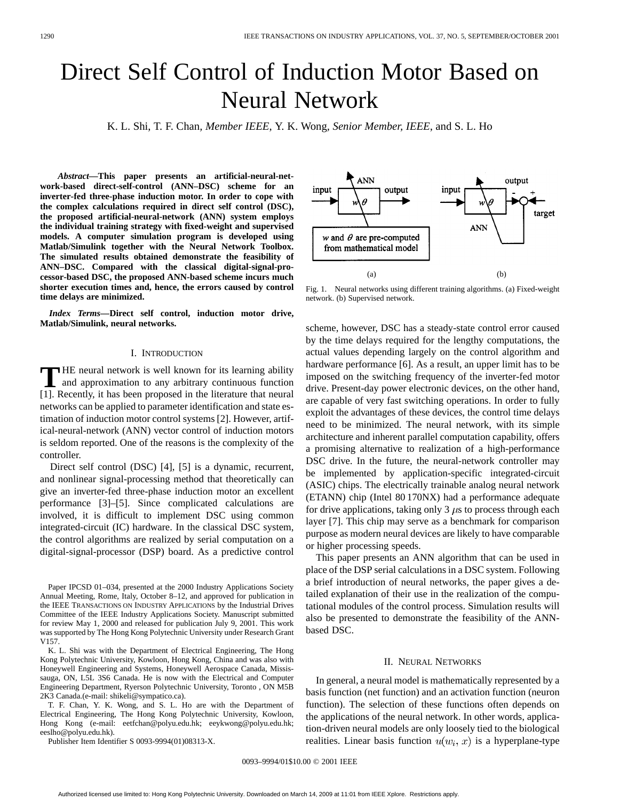# Direct Self Control of Induction Motor Based on Neural Network

K. L. Shi, T. F. Chan*, Member IEEE*, Y. K. Wong*, Senior Member, IEEE*, and S. L. Ho

*Abstract—***This paper presents an artificial-neural-network-based direct-self-control (ANN–DSC) scheme for an inverter-fed three-phase induction motor. In order to cope with the complex calculations required in direct self control (DSC), the proposed artificial-neural-network (ANN) system employs the individual training strategy with fixed-weight and supervised models. A computer simulation program is developed using Matlab/Simulink together with the Neural Network Toolbox. The simulated results obtained demonstrate the feasibility of ANN–DSC. Compared with the classical digital-signal-processor-based DSC, the proposed ANN-based scheme incurs much shorter execution times and, hence, the errors caused by control time delays are minimized.**

*Index Terms—***Direct self control, induction motor drive, Matlab/Simulink, neural networks.**

# I. INTRODUCTION

**T** HE neural network is well known for its learning ability and approximation to any arbitrary continuous function [1]. Recently, it has been proposed in the literature that neural networks can be applied to parameter identification and state estimation of induction motor control systems [2]. However, artifical-neural-network (ANN) vector control of induction motors is seldom reported. One of the reasons is the complexity of the controller.

Direct self control (DSC) [4], [5] is a dynamic, recurrent, and nonlinear signal-processing method that theoretically can give an inverter-fed three-phase induction motor an excellent performance [3]–[5]. Since complicated calculations are involved, it is difficult to implement DSC using common integrated-circuit (IC) hardware. In the classical DSC system, the control algorithms are realized by serial computation on a digital-signal-processor (DSP) board. As a predictive control

Paper IPCSD 01–034, presented at the 2000 Industry Applications Society Annual Meeting, Rome, Italy, October 8–12, and approved for publication in the IEEE TRANSACTIONS ON INDUSTRY APPLICATIONS by the Industrial Drives Committee of the IEEE Industry Applications Society. Manuscript submitted for review May 1, 2000 and released for publication July 9, 2001. This work was supported by The Hong Kong Polytechnic University under Research Grant V157.

K. L. Shi was with the Department of Electrical Engineering, The Hong Kong Polytechnic University, Kowloon, Hong Kong, China and was also with Honeywell Engineering and Systems, Honeywell Aerospace Canada, Mississauga, ON, L5L 3S6 Canada. He is now with the Electrical and Computer Engineering Department, Ryerson Polytechnic University, Toronto , ON M5B 2K3 Canada.(e-mail: shikeli@sympatico.ca).

T. F. Chan, Y. K. Wong, and S. L. Ho are with the Department of Electrical Engineering, The Hong Kong Polytechnic University, Kowloon, Hong Kong (e-mail: eetfchan@polyu.edu.hk; eeykwong@polyu.edu.hk; eeslho@polyu.edu.hk).

Publisher Item Identifier S 0093-9994(01)08313-X.



Fig. 1. Neural networks using different training algorithms. (a) Fixed-weight network. (b) Supervised network.

scheme, however, DSC has a steady-state control error caused by the time delays required for the lengthy computations, the actual values depending largely on the control algorithm and hardware performance [6]. As a result, an upper limit has to be imposed on the switching frequency of the inverter-fed motor drive. Present-day power electronic devices, on the other hand, are capable of very fast switching operations. In order to fully exploit the advantages of these devices, the control time delays need to be minimized. The neural network, with its simple architecture and inherent parallel computation capability, offers a promising alternative to realization of a high-performance DSC drive. In the future, the neural-network controller may be implemented by application-specific integrated-circuit (ASIC) chips. The electrically trainable analog neural network (ETANN) chip (Intel 80 170NX) had a performance adequate for drive applications, taking only 3  $\mu$ s to process through each layer [7]. This chip may serve as a benchmark for comparison purpose as modern neural devices are likely to have comparable or higher processing speeds.

This paper presents an ANN algorithm that can be used in place of the DSP serial calculations in a DSC system. Following a brief introduction of neural networks, the paper gives a detailed explanation of their use in the realization of the computational modules of the control process. Simulation results will also be presented to demonstrate the feasibility of the ANNbased DSC.

# II. NEURAL NETWORKS

In general, a neural model is mathematically represented by a basis function (net function) and an activation function (neuron function). The selection of these functions often depends on the applications of the neural network. In other words, application-driven neural models are only loosely tied to the biological realities. Linear basis function  $u(w_i, x)$  is a hyperplane-type

0093–9994/01\$10.00 © 2001 IEEE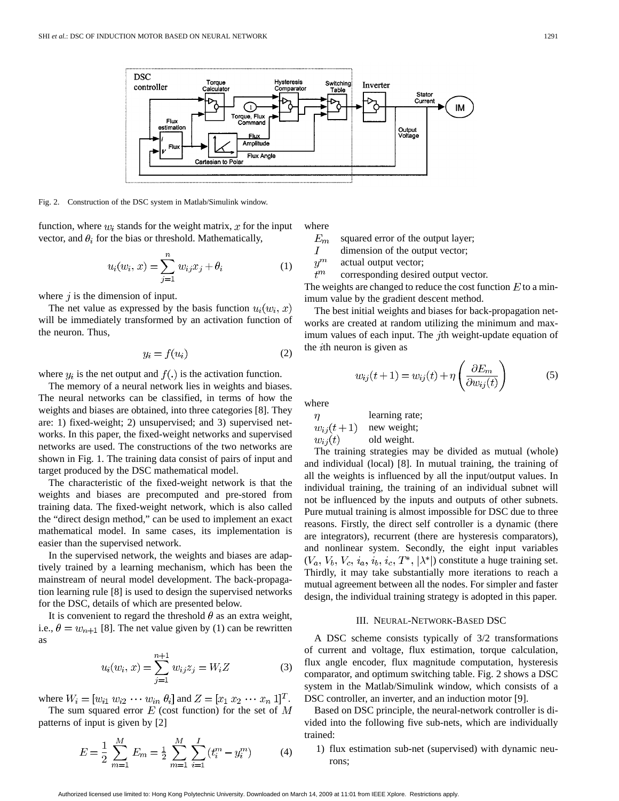

Fig. 2. Construction of the DSC system in Matlab/Simulink window.

function, where  $w_i$  stands for the weight matrix, x for the input vector, and  $\theta_i$  for the bias or threshold. Mathematically,

$$
u_i(w_i, x) = \sum_{j=1}^{n} w_{ij} x_j + \theta_i
$$
 (1)

where  $j$  is the dimension of input.

The net value as expressed by the basis function  $u_i(w_i, x)$ will be immediately transformed by an activation function of the neuron. Thus,

$$
y_i = f(u_i) \tag{2}
$$

where  $y_i$  is the net output and  $f(.)$  is the activation function.

The memory of a neural network lies in weights and biases. The neural networks can be classified, in terms of how the weights and biases are obtained, into three categories [8]. They are: 1) fixed-weight; 2) unsupervised; and 3) supervised networks. In this paper, the fixed-weight networks and supervised networks are used. The constructions of the two networks are shown in Fig. 1. The training data consist of pairs of input and target produced by the DSC mathematical model.

The characteristic of the fixed-weight network is that the weights and biases are precomputed and pre-stored from training data. The fixed-weight network, which is also called the "direct design method," can be used to implement an exact mathematical model. In same cases, its implementation is easier than the supervised network.

In the supervised network, the weights and biases are adaptively trained by a learning mechanism, which has been the mainstream of neural model development. The back-propagation learning rule [8] is used to design the supervised networks for the DSC, details of which are presented below.

It is convenient to regard the threshold  $\theta$  as an extra weight, i.e.,  $\theta = w_{n+1}$  [8]. The net value given by (1) can be rewritten as

$$
u_i(w_i, x) = \sum_{j=1}^{n+1} w_{ij} z_j = W_i Z
$$
 (3)

where  $W_i = [w_{i1} \ w_{i2} \ \cdots \ w_{in} \ \theta_i]$  and  $Z = [x_1 \ x_2 \ \cdots \ x_n \ 1]^T$ .

The sum squared error  $E$  (cost function) for the set of  $M$ patterns of input is given by [2]

$$
E = \frac{1}{2} \sum_{m=1}^{M} E_m = \frac{1}{2} \sum_{m=1}^{M} \sum_{i=1}^{I} (t_i^m - y_i^m)
$$
 (4)

where

 $E_m\,$ squared error of the output layer;

- Ι dimension of the output vector;
- $\boldsymbol{y}^m$ actual output vector;

 $\tilde{t}^m$ corresponding desired output vector.

The weights are changed to reduce the cost function  $E$  to a minimum value by the gradient descent method.

The best initial weights and biases for back-propagation networks are created at random utilizing the minimum and maximum values of each input. The  $j$ th weight-update equation of the  $i$ th neuron is given as

$$
w_{ij}(t+1) = w_{ij}(t) + \eta \left(\frac{\partial E_m}{\partial w_{ij}(t)}\right) \tag{5}
$$

where

learning rate;  $w_{ij}(t+1)$ new weight;  $w_{ij}(t)$ old weight.

The training strategies may be divided as mutual (whole) and individual (local) [8]. In mutual training, the training of all the weights is influenced by all the input/output values. In individual training, the training of an individual subnet will not be influenced by the inputs and outputs of other subnets. Pure mutual training is almost impossible for DSC due to three reasons. Firstly, the direct self controller is a dynamic (there are integrators), recurrent (there are hysteresis comparators), and nonlinear system. Secondly, the eight input variables  $(V_a, V_b, V_c, i_a, i_b, i_c, T^*, |\lambda^*|)$  constitute a huge training set. Thirdly, it may take substantially more iterations to reach a mutual agreement between all the nodes. For simpler and faster design, the individual training strategy is adopted in this paper.

## III. NEURAL-NETWORK-BASED DSC

A DSC scheme consists typically of 3/2 transformations of current and voltage, flux estimation, torque calculation, flux angle encoder, flux magnitude computation, hysteresis comparator, and optimum switching table. Fig. 2 shows a DSC system in the Matlab/Simulink window, which consists of a DSC controller, an inverter, and an induction motor [9].

Based on DSC principle, the neural-network controller is divided into the following five sub-nets, which are individually trained:

1) flux estimation sub-net (supervised) with dynamic neurons;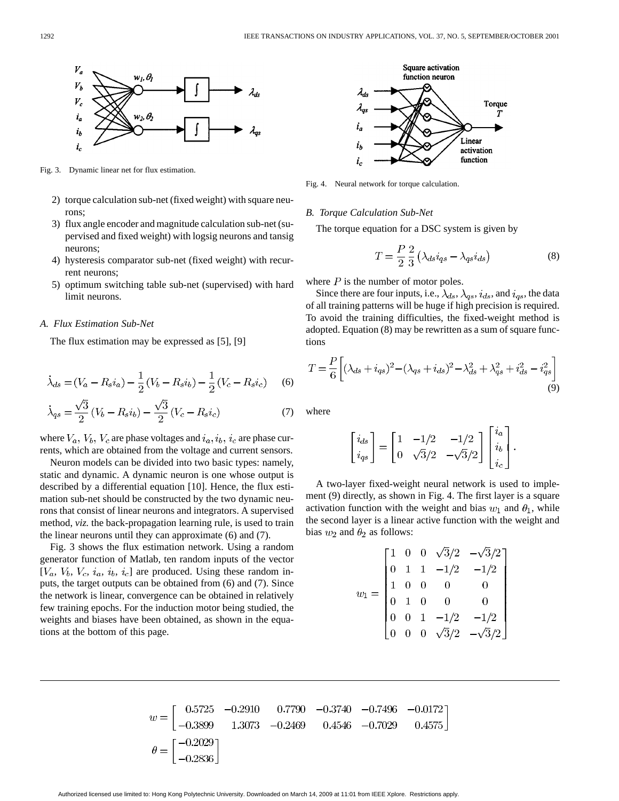

Fig. 3. Dynamic linear net for flux estimation.

- 2) torque calculation sub-net (fixed weight) with square neurons;
- 3) flux angle encoder and magnitude calculation sub-net (supervised and fixed weight) with logsig neurons and tansig neurons;
- 4) hysteresis comparator sub-net (fixed weight) with recurrent neurons;
- 5) optimum switching table sub-net (supervised) with hard limit neurons.

# *A. Flux Estimation Sub-Net*

The flux estimation may be expressed as [5], [9]

$$
\dot{\lambda}_{ds} = (V_a - R_s i_a) - \frac{1}{2} (V_b - R_s i_b) - \frac{1}{2} (V_c - R_s i_c) \tag{6}
$$

$$
\dot{\lambda}_{qs} = \frac{\sqrt{3}}{2} (V_b - R_s i_b) - \frac{\sqrt{3}}{2} (V_c - R_s i_c)
$$
 (7)

where  $V_a$ ,  $V_b$ ,  $V_c$  are phase voltages and  $i_a$ ,  $i_b$ ,  $i_c$  are phase currents, which are obtained from the voltage and current sensors.

Neuron models can be divided into two basic types: namely, static and dynamic. A dynamic neuron is one whose output is described by a differential equation [10]. Hence, the flux estimation sub-net should be constructed by the two dynamic neurons that consist of linear neurons and integrators. A supervised method, *viz.* the back-propagation learning rule, is used to train the linear neurons until they can approximate (6) and (7).

Fig. 3 shows the flux estimation network. Using a random generator function of Matlab, ten random inputs of the vector  $[V_a, V_b, V_c, i_a, i_b, i_c]$  are produced. Using these random inputs, the target outputs can be obtained from (6) and (7). Since the network is linear, convergence can be obtained in relatively few training epochs. For the induction motor being studied, the weights and biases have been obtained, as shown in the equations at the bottom of this page.



Fig. 4. Neural network for torque calculation.

#### *B. Torque Calculation Sub-Net*

The torque equation for a DSC system is given by

$$
T = \frac{P}{2} \frac{2}{3} \left( \lambda_{ds} i_{qs} - \lambda_{qs} i_{ds} \right)
$$
 (8)

 $\Gamma$   $\mathcal{I}$   $\Box$ 

where  $P$  is the number of motor poles.

Since there are four inputs, i.e.,  $\lambda_{ds}$ ,  $\lambda_{qs}$ ,  $i_{ds}$ , and  $i_{qs}$ , the data of all training patterns will be huge if high precision is required. To avoid the training difficulties, the fixed-weight method is adopted. Equation (8) may be rewritten as a sum of square functions

$$
T = \frac{P}{6} \left[ (\lambda_{ds} + i_{qs})^2 - (\lambda_{qs} + i_{ds})^2 - \lambda_{ds}^2 + \lambda_{qs}^2 + i_{ds}^2 - i_{qs}^2 \right]
$$
\n(9)

where

$$
\begin{bmatrix} i_{ds} \\ i_{qs} \end{bmatrix} = \begin{bmatrix} 1 & -1/2 & -1/2 \\ 0 & \sqrt{3}/2 & -\sqrt{3}/2 \end{bmatrix} \begin{bmatrix} i_a \\ i_b \\ i_c \end{bmatrix}.
$$

A two-layer fixed-weight neural network is used to implement (9) directly, as shown in Fig. 4. The first layer is a square activation function with the weight and bias  $w_1$  and  $\theta_1$ , while the second layer is a linear active function with the weight and bias  $w_2$  and  $\theta_2$  as follows:

$$
w_1 = \begin{bmatrix} 1 & 0 & 0 & \sqrt{3}/2 & -\sqrt{3}/2 \\ 0 & 1 & 1 & -1/2 & -1/2 \\ 1 & 0 & 0 & 0 & 0 \\ 0 & 1 & 0 & 0 & 0 \\ 0 & 0 & 1 & -1/2 & -1/2 \\ 0 & 0 & 0 & \sqrt{3}/2 & -\sqrt{3}/2 \end{bmatrix}
$$

$$
w = \begin{bmatrix} 0.5725 & -0.2910 & 0.7790 & -0.3740 & -0.7496 & -0.0172 \\ -0.3899 & 1.3073 & -0.2469 & 0.4546 & -0.7029 & 0.4575 \end{bmatrix}
$$

$$
\theta = \begin{bmatrix} -0.2029 \\ -0.2836 \end{bmatrix}
$$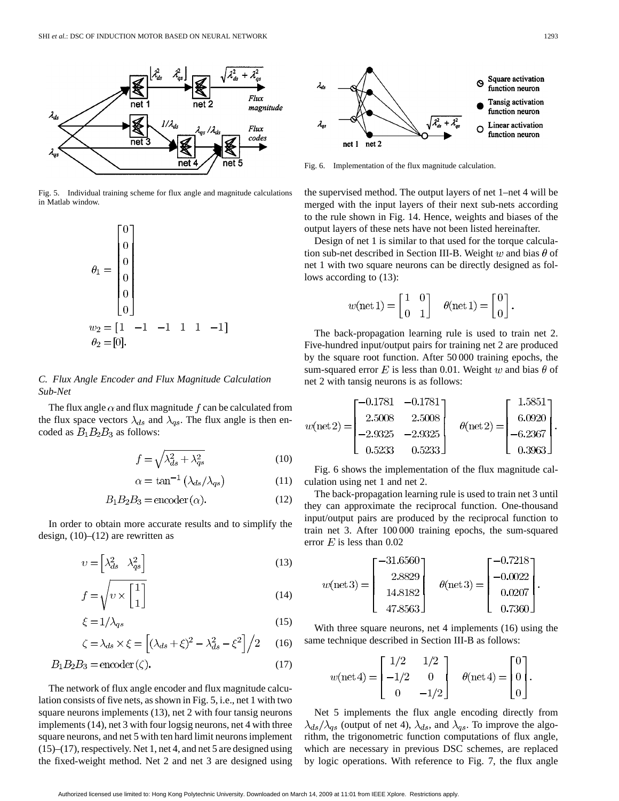

Fig. 5. Individual training scheme for flux angle and magnitude calculations in Matlab window.



*C. Flux Angle Encoder and Flux Magnitude Calculation Sub-Net*

The flux angle  $\alpha$  and flux magnitude f can be calculated from the flux space vectors  $\lambda_{ds}$  and  $\lambda_{qs}$ . The flux angle is then encoded as  $B_1B_2B_3$  as follows:

$$
f = \sqrt{\lambda_{ds}^2 + \lambda_{qs}^2} \tag{10}
$$

$$
\alpha = \tan^{-1} \left( \lambda_{ds} / \lambda_{qs} \right) \tag{11}
$$

$$
B_1 B_2 B_3 = \text{encoder}(\alpha). \tag{12}
$$

In order to obtain more accurate results and to simplify the design,  $(10)$ – $(12)$  are rewritten as

$$
v = \begin{bmatrix} \lambda_{ds}^2 & \lambda_{qs}^2 \end{bmatrix} \tag{13}
$$

$$
f = \sqrt{v \times \begin{bmatrix} 1 \\ 1 \end{bmatrix}} \tag{14}
$$

$$
\xi = 1/\lambda_{qs} \tag{15}
$$

$$
\zeta = \lambda_{ds} \times \xi = \left[ (\lambda_{ds} + \xi)^2 - \lambda_{ds}^2 - \xi^2 \right] / 2 \quad (16)
$$

$$
B_1 B_2 B_3 = \text{encoder}(\zeta). \tag{17}
$$

The network of flux angle encoder and flux magnitude calculation consists of five nets, as shown in Fig. 5, i.e., net 1 with two square neurons implements (13), net 2 with four tansig neurons implements (14), net 3 with four logsig neurons, net 4 with three square neurons, and net 5 with ten hard limit neurons implement (15)–(17), respectively. Net 1, net 4, and net 5 are designed using the fixed-weight method. Net 2 and net 3 are designed using



Fig. 6. Implementation of the flux magnitude calculation.

the supervised method. The output layers of net 1–net 4 will be merged with the input layers of their next sub-nets according to the rule shown in Fig. 14. Hence, weights and biases of the output layers of these nets have not been listed hereinafter.

Design of net 1 is similar to that used for the torque calculation sub-net described in Section III-B. Weight w and bias  $\theta$  of net 1 with two square neurons can be directly designed as follows according to (13):

$$
w(\text{net 1}) = \begin{bmatrix} 1 & 0 \\ 0 & 1 \end{bmatrix} \quad \theta(\text{net 1}) = \begin{bmatrix} 0 \\ 0 \end{bmatrix}
$$

The back-propagation learning rule is used to train net 2. Five-hundred input/output pairs for training net 2 are produced by the square root function. After 50 000 training epochs, the sum-squared error  $E$  is less than 0.01. Weight  $w$  and bias  $\theta$  of net 2 with tansig neurons is as follows:

$$
w(\text{net 2}) = \begin{bmatrix} -0.1781 & -0.1781 \\ 2.5008 & 2.5008 \\ -2.9325 & -2.9325 \\ 0.5233 & 0.5233 \end{bmatrix} \quad \theta(\text{net 2}) = \begin{bmatrix} 1.5851 \\ 6.0920 \\ -6.2367 \\ 0.3963 \end{bmatrix}
$$

Fig. 6 shows the implementation of the flux magnitude calculation using net 1 and net 2.

The back-propagation learning rule is used to train net 3 until they can approximate the reciprocal function. One-thousand input/output pairs are produced by the reciprocal function to train net 3. After 100 000 training epochs, the sum-squared error  $E$  is less than 0.02

$$
w(\text{net }3) = \begin{bmatrix} -31.6560 \\ 2.8829 \\ 14.8182 \\ 47.8563 \end{bmatrix} \quad \theta(\text{net }3) = \begin{bmatrix} -0.7218 \\ -0.0022 \\ 0.0207 \\ 0.7360 \end{bmatrix}.
$$

With three square neurons, net 4 implements (16) using the same technique described in Section III-B as follows:

$$
w(\text{net } 4) = \begin{bmatrix} 1/2 & 1/2 \\ -1/2 & 0 \\ 0 & -1/2 \end{bmatrix} \quad \theta(\text{net } 4) = \begin{bmatrix} 0 \\ 0 \\ 0 \end{bmatrix}.
$$

Net 5 implements the flux angle encoding directly from  $\lambda_{ds}/\lambda_{qs}$  (output of net 4),  $\lambda_{ds}$ , and  $\lambda_{qs}$ . To improve the algorithm, the trigonometric function computations of flux angle, which are necessary in previous DSC schemes, are replaced by logic operations. With reference to Fig. 7, the flux angle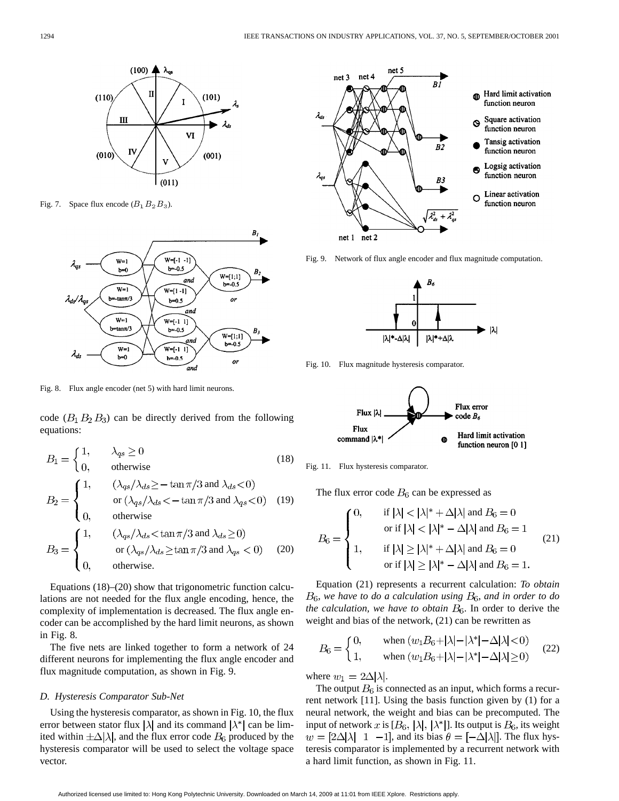

Fig. 7. Space flux encode  $(B_1 B_2 B_3)$ .



Fig. 8. Flux angle encoder (net 5) with hard limit neurons.

code  $(B_1 B_2 B_3)$  can be directly derived from the following equations:

$$
B_1 = \begin{cases} 1, & \lambda_{qs} \ge 0 \\ 0, & \text{otherwise} \end{cases}
$$
(18)  
\n
$$
B_2 = \begin{cases} 1, & (\lambda_{qs}/\lambda_{ds} \ge -\tan \pi/3 \text{ and } \lambda_{ds} < 0) \\ & \text{or } (\lambda_{qs}/\lambda_{ds} < -\tan \pi/3 \text{ and } \lambda_{qs} < 0) \\ 0, & \text{otherwise} \end{cases}
$$
(19)  
\n
$$
B_3 = \begin{cases} 1, & (\lambda_{qs}/\lambda_{ds} < \tan \pi/3 \text{ and } \lambda_{ds} \ge 0) \\ & \text{or } (\lambda_{qs}/\lambda_{ds} \ge \tan \pi/3 \text{ and } \lambda_{qs} < 0) \\ 0, & \text{otherwise.} \end{cases}
$$
(20)

Equations (18)–(20) show that trigonometric function calculations are not needed for the flux angle encoding, hence, the complexity of implementation is decreased. The flux angle encoder can be accomplished by the hard limit neurons, as shown in Fig. 8.

The five nets are linked together to form a network of 24 different neurons for implementing the flux angle encoder and flux magnitude computation, as shown in Fig. 9.

#### *D. Hysteresis Comparator Sub-Net*

Using the hysteresis comparator, as shown in Fig. 10, the flux error between stator flux  $|\lambda|$  and its command  $|\lambda^*|$  can be limited within  $\pm \Delta |\lambda|$ , and the flux error code  $B_6$  produced by the hysteresis comparator will be used to select the voltage space vector.



Fig. 9. Network of flux angle encoder and flux magnitude computation.



Fig. 10. Flux magnitude hysteresis comparator.



Fig. 11. Flux hysteresis comparator.

The flux error code  $B_6$  can be expressed as

$$
B_6 = \begin{cases} 0, & \text{if } |\lambda| < |\lambda|^* + \Delta|\lambda| \text{ and } B_6 = 0 \\ & \text{or if } |\lambda| < |\lambda|^* - \Delta|\lambda| \text{ and } B_6 = 1 \\ 1, & \text{if } |\lambda| \ge |\lambda|^* + \Delta|\lambda| \text{ and } B_6 = 0 \\ & \text{or if } |\lambda| \ge |\lambda|^* - \Delta|\lambda| \text{ and } B_6 = 1. \end{cases} \tag{21}
$$

Equation (21) represents a recurrent calculation: *To obtain*  $B_6$ , we have to do a calculation using  $B_6$ , and in order to do *the calculation, we have to obtain*  $B_6$ . In order to derive the weight and bias of the network, (21) can be rewritten as

$$
B_6 = \begin{cases} 0, & \text{when } (w_1 B_6 + |\lambda| - |\lambda^*| - \Delta|\lambda| < 0) \\ 1, & \text{when } (w_1 B_6 + |\lambda| - |\lambda^*| - \Delta|\lambda| \ge 0) \end{cases} \tag{22}
$$

where  $w_1 = 2\Delta |\lambda|$ .

The output  $B_6$  is connected as an input, which forms a recurrent network [11]. Using the basis function given by (1) for a neural network, the weight and bias can be precomputed. The input of network x is  $[B_6, |\lambda|, |\lambda^*|]$ . Its output is  $B_6$ , its weight  $w = [2\Delta|\lambda| \quad 1 \quad -1]$ , and its bias  $\theta = [-\Delta|\lambda|]$ . The flux hysteresis comparator is implemented by a recurrent network with a hard limit function, as shown in Fig. 11.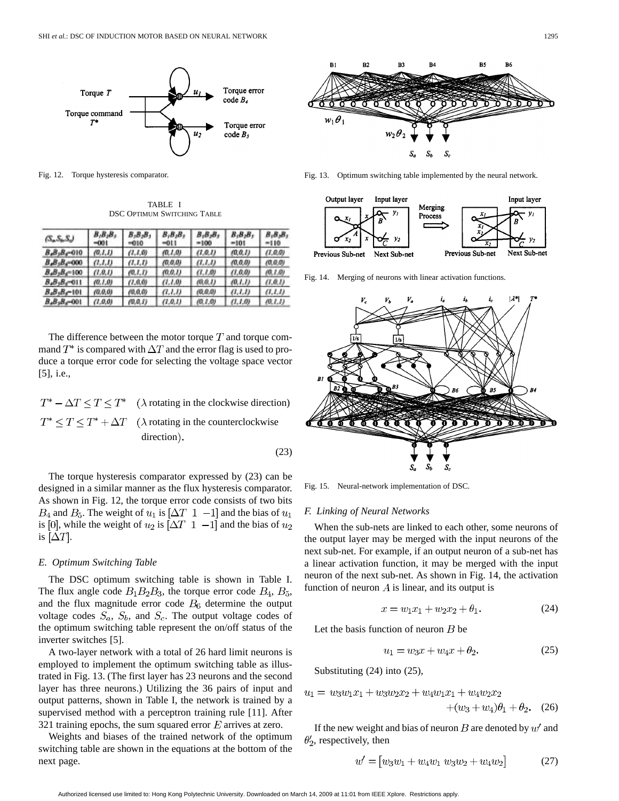

Fig. 12. Torque hysteresis comparator.

TABLE I DSC OPTIMUM SWITCHING TABLE

| $(S_n S_n S_n)$   | $B_1B_2B_3$<br>-001 | $B_1B_2B_1$<br>$-010$ | $B_1B_2B_1$<br>-011 | $B_1B_2B_1$<br>$=100$ | $B_1B_2B_3$<br>-101 | $B_1B_2B_1$<br>$=110$ |
|-------------------|---------------------|-----------------------|---------------------|-----------------------|---------------------|-----------------------|
| $B_4B_3B_4=010$   | (0, I, I)           | (1,1,0)               | (0.1.0)             | (1, 0, 1)             | (0, 0, 1)           | (1,0.0)               |
| $B_4B_3B_6=000$   | (1.1,1)             | (1,1,1)               | (0.0.0)             | (1.1.1)               | (0, 0.0)            | (0.0.0)               |
| $B_4B_3B_4 = 100$ | (1,0,1)             | (0, I, I)             | (0.0.1)             | (1.1.0)               | (1,0,0)             | (0.1.0)               |
| $B_4B_3B_5=011$   | (0.1.0)             | (1.0.0)               | (1.1.0)             | (0, 0, 1)             | (0,1,1)             | (1,0,1)               |
| $B_4B_3B_4=101$   | (0.0, 0)            | (0,0,0)               | (1,1,1)             | (0, 0, 0)             | (1,1,1)             | (1,1,1)               |
| $B_4B_3B_4=001$   | (1,0,0)             | (0,0,1)               | (1,0,1)             | (0.1.0)               | (1.1.0)             | (0.1.1)               |

The difference between the motor torque  $T$  and torque command  $T^*$  is compared with  $\Delta T$  and the error flag is used to produce a torque error code for selecting the voltage space vector [5], i.e.,

 $T^* - \Delta T \leq T \leq T^*$  ( $\lambda$  rotating in the clockwise direction)  $T^* \leq T \leq T^* + \Delta T$  ( $\lambda$  rotating in the counterclockwise direction).

(23)

The torque hysteresis comparator expressed by (23) can be designed in a similar manner as the flux hysteresis comparator. As shown in Fig. 12, the torque error code consists of two bits  $B_4$  and  $B_5$ . The weight of  $u_1$  is  $[\Delta T \ 1 \ -1]$  and the bias of  $u_1$ is [0], while the weight of  $u_2$  is  $[\Delta T \ 1 \ -1]$  and the bias of  $u_2$ is  $[\Delta T]$ .

#### *E. Optimum Switching Table*

The DSC optimum switching table is shown in Table I. The flux angle code  $B_1B_2B_3$ , the torque error code  $B_4$ ,  $B_5$ , and the flux magnitude error code  $B_6$  determine the output voltage codes  $S_a$ ,  $S_b$ , and  $S_c$ . The output voltage codes of the optimum switching table represent the on/off status of the inverter switches [5].

A two-layer network with a total of 26 hard limit neurons is employed to implement the optimum switching table as illustrated in Fig. 13. (The first layer has 23 neurons and the second layer has three neurons.) Utilizing the 36 pairs of input and output patterns, shown in Table I, the network is trained by a supervised method with a perceptron training rule [11]. After 321 training epochs, the sum squared error  $E$  arrives at zero.

Weights and biases of the trained network of the optimum switching table are shown in the equations at the bottom of the next page.



Fig. 13. Optimum switching table implemented by the neural network.



Fig. 14. Merging of neurons with linear activation functions.



Fig. 15. Neural-network implementation of DSC.

## *F. Linking of Neural Networks*

When the sub-nets are linked to each other, some neurons of the output layer may be merged with the input neurons of the next sub-net. For example, if an output neuron of a sub-net has a linear activation function, it may be merged with the input neuron of the next sub-net. As shown in Fig. 14, the activation function of neuron  $\tilde{A}$  is linear, and its output is

$$
x = w_1 x_1 + w_2 x_2 + \theta_1. \tag{24}
$$

Let the basis function of neuron  $B$  be

$$
u_1 = w_3 x + w_4 x + \theta_2. \tag{25}
$$

Substituting (24) into (25),

$$
u_1 = w_3w_1x_1 + w_3w_2x_2 + w_4w_1x_1 + w_4w_2x_2
$$
  
+(w<sub>3</sub> + w<sub>4</sub>) $\theta_1$  +  $\theta_2$ . (26)

If the new weight and bias of neuron  $B$  are denoted by  $w'$  and  $\theta_2$ , respectively, then

$$
w' = [w_3w_1 + w_4w_1\ w_3w_2 + w_4w_2] \tag{27}
$$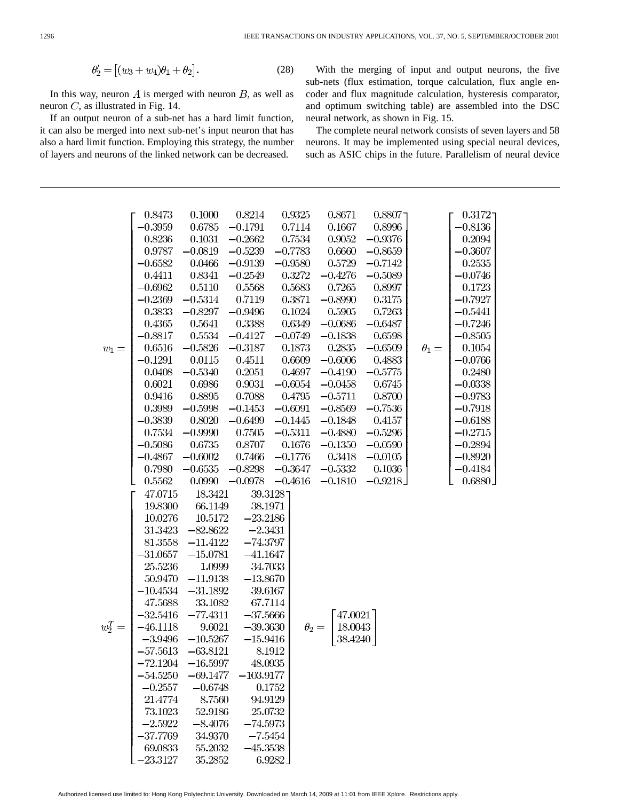$$
\theta_2' = \left[ (w_3 + w_4)\theta_1 + \theta_2 \right]. \tag{28}
$$

In this way, neuron  $A$  is merged with neuron  $B$ , as well as neuron  $C$ , as illustrated in Fig. 14.

If an output neuron of a sub-net has a hard limit function, it can also be merged into next sub-net's input neuron that has also a hard limit function. Employing this strategy, the number of layers and neurons of the linked network can be decreased.

With the merging of input and output neurons, the five sub-nets (flux estimation, torque calculation, flux angle encoder and flux magnitude calculation, hysteresis comparator, and optimum switching table) are assembled into the DSC neural network, as shown in Fig. 15.

The complete neural network consists of seven layers and 58 neurons. It may be implemented using special neural devices, such as ASIC chips in the future. Parallelism of neural device

|  |            | 0.8473     | 0.1000     | 0.8214      | 0.9325    | 0.8671                 | 0.8807    |              | 0.3172    |
|--|------------|------------|------------|-------------|-----------|------------------------|-----------|--------------|-----------|
|  |            | $-0.3959$  | 0.6785     | $-0.1791$   | 0.7114    | 0.1667                 | 0.8996    |              | $-0.8136$ |
|  |            | 0.8236     | 0.1031     | $-0.2662$   | 0.7534    | 0.9052                 | $-0.9376$ |              | 0.2094    |
|  |            | 0.9787     | $-0.0819$  | $-0.5239$   | $-0.7783$ | 0.6660                 | $-0.8659$ |              | $-0.3607$ |
|  |            | $-0.6582$  | 0.0466     | $-0.9139$   | $-0.9580$ | 0.5729                 | $-0.7142$ |              | 0.2535    |
|  |            | 0.4411     | 0.8341     | $-0.2549$   | 0.3272    | $-0.4276$              | $-0.5089$ |              | $-0.0746$ |
|  |            | $-0.6962$  | 0.5110     | 0.5568      | 0.5683    | 0.7265                 | 0.8997    |              | 0.1723    |
|  |            | $-0.2369$  | $-0.5314$  | 0.7119      | 0.3871    | $-0.8990$              | 0.3175    |              | $-0.7927$ |
|  |            | 0.3833     | $-0.8297$  | $-0.9496$   | 0.1024    | 0.5905                 | 0.7263    |              | $-0.5441$ |
|  |            | 0.4365     | 0.5641     | 0.3388      | 0.6349    | $-0.0686$              | $-0.6487$ |              | $-0.7246$ |
|  |            | $-0.8817$  | 0.5534     | $-0.4127$   | $-0.0749$ | $-0.1838$              | 0.6598    |              | $-0.8505$ |
|  | $w_1 =$    | 0.6516     | $-0.5826$  | $-0.3187$   | 0.1873    | 0.2835                 | $-0.6509$ | $\theta_1 =$ | 0.1054    |
|  |            | $-0.1291$  | 0.0115     | 0.4511      | 0.6609    | $-0.6006$              | 0.4883    |              | $-0.0766$ |
|  |            | 0.0408     | $-0.5340$  | 0.2051      | 0.4697    | $-0.4190$              | $-0.5775$ |              | 0.2480    |
|  |            | 0.6021     | 0.6986     | 0.9031      | $-0.6054$ | $-0.0458$              | 0.6745    |              | $-0.0338$ |
|  |            | 0.9416     | 0.8895     | 0.7088      | 0.4795    | $-0.5711$              | 0.8700    |              | $-0.9783$ |
|  |            | 0.3989     | $-0.5998$  | $-0.1453$   | $-0.6091$ | $-0.8569$              | $-0.7536$ |              | $-0.7918$ |
|  |            | $-0.3839$  | 0.8020     | $-0.6499$   | $-0.1445$ | $-0.1848$              | 0.4157    |              | $-0.6188$ |
|  |            | 0.7534     | $-0.9990$  | 0.7505      | $-0.5311$ | $-0.4880$              | $-0.5296$ |              | $-0.2715$ |
|  |            | $-0.5086$  | 0.6735     | 0.8707      | 0.1676    | $-0.1350$              | $-0.0590$ |              | $-0.2894$ |
|  |            | $-0.4867$  | $-0.6002$  | 0.7466      | $-0.1776$ | 0.3418                 | $-0.0105$ |              | $-0.8920$ |
|  |            | 0.7980     | $-0.6535$  | $-0.8298$   | $-0.3647$ | $-0.5332$              | 0.1036    |              | $-0.4184$ |
|  |            | 0.5562     | 0.0990     | $-0.0978$   | $-0.4616$ | $-0.1810$              | $-0.9218$ |              | 0.6880    |
|  |            | 47.0715    | 18.3421    |             | 39.31287  |                        |           |              |           |
|  |            | 19.8300    | 66.1149    | 38.1971     |           |                        |           |              |           |
|  |            | 10.0276    | 10.5172    | $-23.2186$  |           |                        |           |              |           |
|  |            | 31.3423    | $-82.8622$ | $-2.3431$   |           |                        |           |              |           |
|  |            | 81.3558    | $-11.4122$ | $-74.3797$  |           |                        |           |              |           |
|  |            | $-31.0657$ | $-15.0781$ | $-41.1647$  |           |                        |           |              |           |
|  |            | 25.5236    | 1.0999     | 34.7033     |           |                        |           |              |           |
|  |            | 50.9470    | $-11.9138$ | $-13.8670$  |           |                        |           |              |           |
|  |            | $-10.4534$ | $-31.1892$ | 39.6167     |           |                        |           |              |           |
|  |            | 47.5688    | 33.1082    | 67.7114     |           |                        |           |              |           |
|  |            | $-32.5416$ | $-77.4311$ | $-37.5666$  |           | 47.0021                |           |              |           |
|  | $w_2^T =$  | $-46.1118$ | 9.6021     | $-39.3630$  |           | 18.0043<br>$\theta_2=$ |           |              |           |
|  |            | $-3.9496$  | $-10.5267$ | $-15.9416$  |           | 38.4240                |           |              |           |
|  |            | $-57.5613$ | $-63.8121$ |             | 8.1912    |                        |           |              |           |
|  |            | $-72.1204$ | $-16.5997$ | 48.0935     |           |                        |           |              |           |
|  |            | $-54.5250$ | $-69.1477$ | $-103.9177$ |           |                        |           |              |           |
|  |            | $-0.2557$  | $-0.6748$  |             | 0.1752    |                        |           |              |           |
|  |            | 21.4774    | 8.7560     | 94.9129     |           |                        |           |              |           |
|  |            | 73.1023    | 52.9186    | 25.0732     |           |                        |           |              |           |
|  |            | $-2.5922$  | $-8.4076$  | $-74.5973$  |           |                        |           |              |           |
|  | $-37.7769$ | 34.9370    | $-7.5454$  |             |           |                        |           |              |           |
|  | 69.0833    | 55.2032    | $-45.3538$ |             |           |                        |           |              |           |
|  |            | $-23.3127$ | 35.2852    |             | 6.9282    |                        |           |              |           |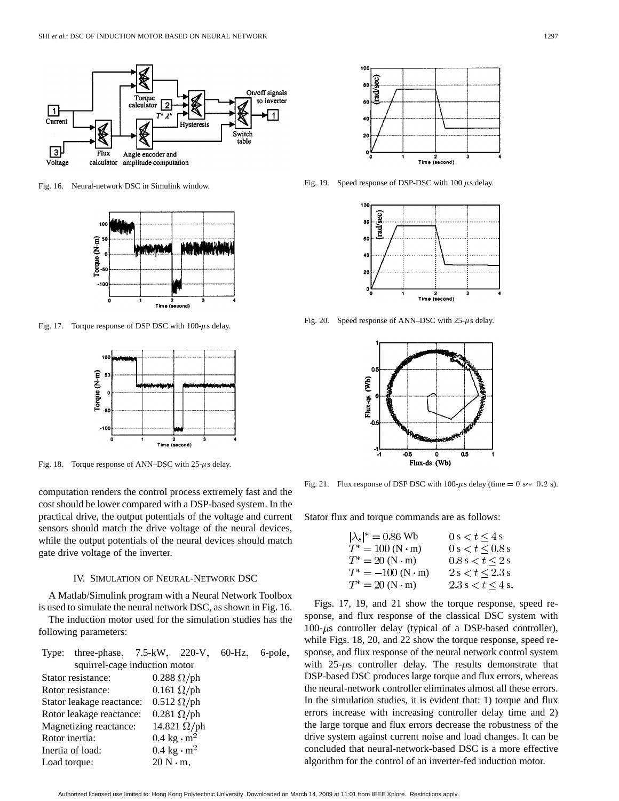

Fig. 16. Neural-network DSC in Simulink window.



Fig. 17. Torque response of DSP DSC with  $100-\mu s$  delay.



Fig. 18. Torque response of ANN–DSC with  $25-\mu s$  delay.

computation renders the control process extremely fast and the cost should be lower compared with a DSP-based system. In the practical drive, the output potentials of the voltage and current sensors should match the drive voltage of the neural devices, while the output potentials of the neural devices should match gate drive voltage of the inverter.

# IV. SIMULATION OF NEURAL-NETWORK DSC

A Matlab/Simulink program with a Neural Network Toolbox is used to simulate the neural network DSC, as shown in Fig. 16.

The induction motor used for the simulation studies has the following parameters:

|                | Type: three-phase, 7.5-kW, 220-V, 60-Hz, 6-pole, |                                   |                                   |  |  |  |  |  |
|----------------|--------------------------------------------------|-----------------------------------|-----------------------------------|--|--|--|--|--|
|                | squirrel-cage induction motor                    |                                   |                                   |  |  |  |  |  |
|                | Stator resistance:                               |                                   | $0.288 \Omega / \mathrm{ph}$      |  |  |  |  |  |
|                | Rotor resistance:                                |                                   | $0.161 \Omega / \mathrm{ph}$      |  |  |  |  |  |
|                | Stator leakage reactance:                        |                                   | $0.512 \Omega / \text{ph}$        |  |  |  |  |  |
|                | Rotor leakage reactance:                         |                                   | $0.281 \Omega/\mathrm{ph}$        |  |  |  |  |  |
|                | Magnetizing reactance:                           |                                   | 14.821 $\Omega$ /ph               |  |  |  |  |  |
| Rotor inertia: |                                                  |                                   | $0.4 \text{ kg} \cdot \text{m}^2$ |  |  |  |  |  |
|                | Inertia of load:                                 | $0.4 \text{ kg} \cdot \text{m}^2$ |                                   |  |  |  |  |  |
| Load torque:   |                                                  |                                   | $20 N \cdot m$ .                  |  |  |  |  |  |



Fig. 19. Speed response of DSP-DSC with 100  $\mu$ s delay.



Fig. 20. Speed response of ANN–DSC with  $25-\mu s$  delay.



Fig. 21. Flux response of DSP DSC with 100- $\mu$ s delay (time = 0 s $\sim$  0.2 s).

Stator flux and torque commands are as follows:

$$
|\lambda_s|^* = 0.86 \text{ Wb} \qquad 0 \text{ s} < t \leq 4 \text{ s} T^* = 100 \text{ (N} \cdot \text{m)} \qquad 0 \text{ s} < t \leq 0.8 \text{ s} T^* = 20 \text{ (N} \cdot \text{m)} \qquad 0.8 \text{ s} < t \leq 2 \text{ s} T^* = -100 \text{ (N} \cdot \text{m)} \qquad 2 \text{ s} < t \leq 2.3 \text{ s} T^* = 20 \text{ (N} \cdot \text{m)} \qquad 2.3 \text{ s} < t \leq 4 \text{ s}.
$$

Figs. 17, 19, and 21 show the torque response, speed response, and flux response of the classical DSC system with  $100-\mu s$  controller delay (typical of a DSP-based controller), while Figs. 18, 20, and 22 show the torque response, speed response, and flux response of the neural network control system with  $25-\mu s$  controller delay. The results demonstrate that DSP-based DSC produces large torque and flux errors, whereas the neural-network controller eliminates almost all these errors. In the simulation studies, it is evident that: 1) torque and flux errors increase with increasing controller delay time and 2) the large torque and flux errors decrease the robustness of the drive system against current noise and load changes. It can be concluded that neural-network-based DSC is a more effective algorithm for the control of an inverter-fed induction motor.